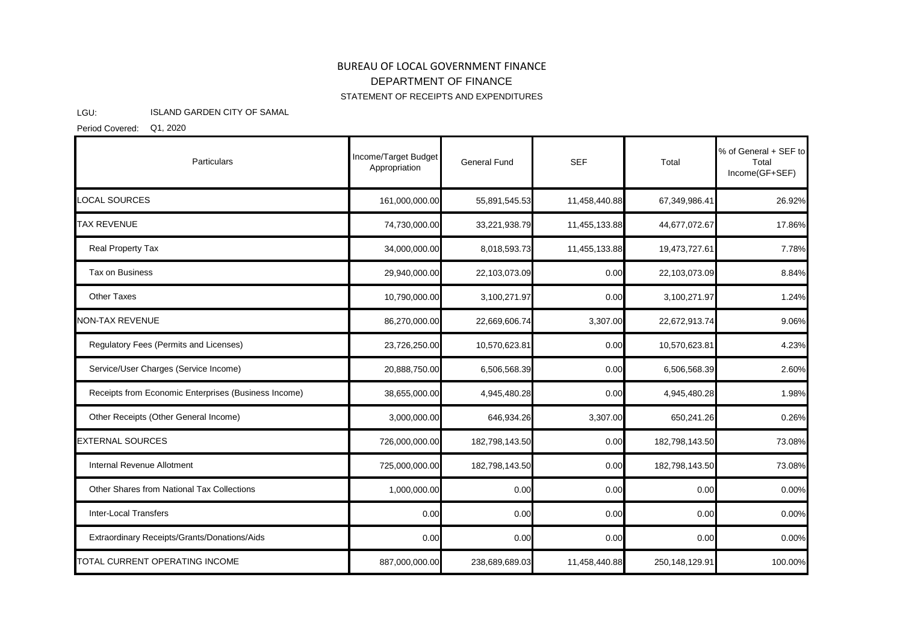## BUREAU OF LOCAL GOVERNMENT FINANCE STATEMENT OF RECEIPTS AND EXPENDITURES DEPARTMENT OF FINANCE

## LGU: ISLAND GARDEN CITY OF SAMAL

Period Covered: Q1, 2020

| Particulars                                          | Income/Target Budget<br>Appropriation | General Fund   | <b>SEF</b>    | Total          | % of General + SEF to<br>Total<br>Income(GF+SEF) |
|------------------------------------------------------|---------------------------------------|----------------|---------------|----------------|--------------------------------------------------|
| <b>LOCAL SOURCES</b>                                 | 161,000,000.00                        | 55,891,545.53  | 11,458,440.88 | 67,349,986.41  | 26.92%                                           |
| <b>TAX REVENUE</b>                                   | 74,730,000.00                         | 33,221,938.79  | 11,455,133.88 | 44,677,072.67  | 17.86%                                           |
| Real Property Tax                                    | 34,000,000.00                         | 8,018,593.73   | 11,455,133.88 | 19,473,727.61  | 7.78%                                            |
| Tax on Business                                      | 29,940,000.00                         | 22,103,073.09  | 0.00          | 22,103,073.09  | 8.84%                                            |
| <b>Other Taxes</b>                                   | 10,790,000.00                         | 3,100,271.97   | 0.00          | 3,100,271.97   | 1.24%                                            |
| <b>NON-TAX REVENUE</b>                               | 86,270,000.00                         | 22,669,606.74  | 3,307.00      | 22,672,913.74  | 9.06%                                            |
| Regulatory Fees (Permits and Licenses)               | 23,726,250.00                         | 10,570,623.81  | 0.00          | 10,570,623.81  | 4.23%                                            |
| Service/User Charges (Service Income)                | 20,888,750.00                         | 6,506,568.39   | 0.00          | 6,506,568.39   | 2.60%                                            |
| Receipts from Economic Enterprises (Business Income) | 38,655,000.00                         | 4,945,480.28   | 0.00          | 4,945,480.28   | 1.98%                                            |
| Other Receipts (Other General Income)                | 3,000,000.00                          | 646,934.26     | 3,307.00      | 650,241.26     | 0.26%                                            |
| <b>EXTERNAL SOURCES</b>                              | 726,000,000.00                        | 182,798,143.50 | 0.00          | 182,798,143.50 | 73.08%                                           |
| Internal Revenue Allotment                           | 725,000,000.00                        | 182,798,143.50 | 0.00          | 182,798,143.50 | 73.08%                                           |
| Other Shares from National Tax Collections           | 1,000,000.00                          | 0.00           | 0.00          | 0.00           | 0.00%                                            |
| <b>Inter-Local Transfers</b>                         | 0.00                                  | 0.00           | 0.00          | 0.00           | 0.00%                                            |
| Extraordinary Receipts/Grants/Donations/Aids         | 0.00                                  | 0.00           | 0.00          | 0.00           | 0.00%                                            |
| TOTAL CURRENT OPERATING INCOME                       | 887,000,000.00                        | 238,689,689.03 | 11,458,440.88 | 250,148,129.91 | 100.00%                                          |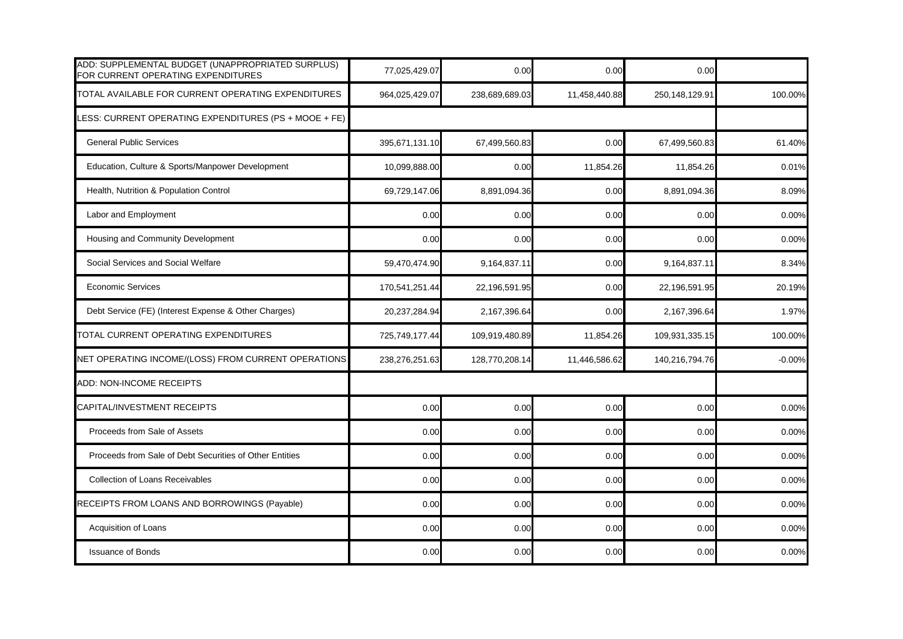| ADD: SUPPLEMENTAL BUDGET (UNAPPROPRIATED SURPLUS)<br>FOR CURRENT OPERATING EXPENDITURES | 77,025,429.07  | 0.00           | 0.00          | 0.00           |          |
|-----------------------------------------------------------------------------------------|----------------|----------------|---------------|----------------|----------|
| TOTAL AVAILABLE FOR CURRENT OPERATING EXPENDITURES                                      | 964,025,429.07 | 238,689,689.03 | 11,458,440.88 | 250,148,129.91 | 100.00%  |
| ESS: CURRENT OPERATING EXPENDITURES (PS + MOOE + FE)                                    |                |                |               |                |          |
| <b>General Public Services</b>                                                          | 395,671,131.10 | 67,499,560.83  | 0.00          | 67,499,560.83  | 61.40%   |
| Education, Culture & Sports/Manpower Development                                        | 10,099,888.00  | 0.00           | 11,854.26     | 11,854.26      | 0.01%    |
| Health, Nutrition & Population Control                                                  | 69,729,147.06  | 8,891,094.36   | 0.00          | 8,891,094.36   | 8.09%    |
| Labor and Employment                                                                    | 0.00           | 0.00           | 0.00          | 0.00           | 0.00%    |
| Housing and Community Development                                                       | 0.00           | 0.00           | 0.00          | 0.00           | 0.00%    |
| Social Services and Social Welfare                                                      | 59,470,474.90  | 9,164,837.11   | 0.00          | 9,164,837.11   | 8.34%    |
| <b>Economic Services</b>                                                                | 170,541,251.44 | 22,196,591.95  | 0.00          | 22,196,591.95  | 20.19%   |
| Debt Service (FE) (Interest Expense & Other Charges)                                    | 20,237,284.94  | 2,167,396.64   | 0.00          | 2,167,396.64   | 1.97%    |
| TOTAL CURRENT OPERATING EXPENDITURES                                                    | 725,749,177.44 | 109,919,480.89 | 11,854.26     | 109,931,335.15 | 100.00%  |
| NET OPERATING INCOME/(LOSS) FROM CURRENT OPERATIONS                                     | 238,276,251.63 | 128,770,208.14 | 11,446,586.62 | 140,216,794.76 | $-0.00%$ |
| ADD: NON-INCOME RECEIPTS                                                                |                |                |               |                |          |
| CAPITAL/INVESTMENT RECEIPTS                                                             | 0.00           | 0.00           | 0.00          | 0.00           | 0.00%    |
| Proceeds from Sale of Assets                                                            | 0.00           | 0.00           | 0.00          | 0.00           | 0.00%    |
| Proceeds from Sale of Debt Securities of Other Entities                                 | 0.00           | 0.00           | 0.00          | 0.00           | 0.00%    |
| <b>Collection of Loans Receivables</b>                                                  | 0.00           | 0.00           | 0.00          | 0.00           | 0.00%    |
| RECEIPTS FROM LOANS AND BORROWINGS (Payable)                                            | 0.00           | 0.00           | 0.00          | 0.00           | 0.00%    |
| Acquisition of Loans                                                                    | 0.00           | 0.00           | 0.00          | 0.00           | 0.00%    |
| <b>Issuance of Bonds</b>                                                                | 0.00           | 0.00           | 0.00          | 0.00           | 0.00%    |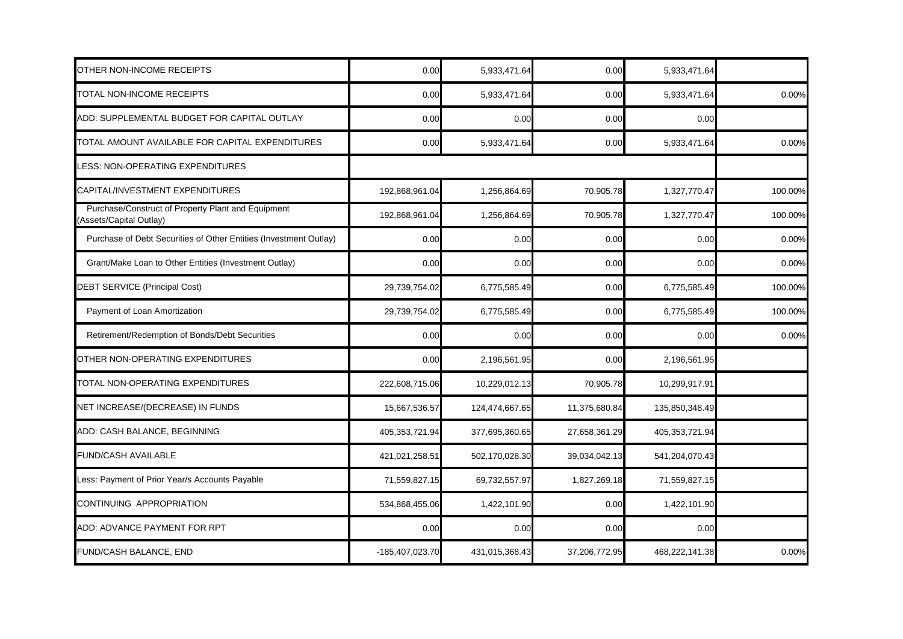| OTHER NON-INCOME RECEIPTS                                                     | 0.00            | 5,933,471.64   | 0.00          | 5,933,471.64   |         |
|-------------------------------------------------------------------------------|-----------------|----------------|---------------|----------------|---------|
| TOTAL NON-INCOME RECEIPTS                                                     | 0.00            | 5,933,471.64   | 0.00          | 5,933,471.64   | 0.00%   |
| ADD: SUPPLEMENTAL BUDGET FOR CAPITAL OUTLAY                                   | 0.00            | 0.00           | 0.00          | 0.00           |         |
| TOTAL AMOUNT AVAILABLE FOR CAPITAL EXPENDITURES                               | 0.00            | 5,933,471.64   | 0.00          | 5,933,471.64   | 0.00%   |
| LESS: NON-OPERATING EXPENDITURES                                              |                 |                |               |                |         |
| CAPITAL/INVESTMENT EXPENDITURES                                               | 192,868,961.04  | 1,256,864.69   | 70,905.78     | 1,327,770.47   | 100.00% |
| Purchase/Construct of Property Plant and Equipment<br>(Assets/Capital Outlay) | 192,868,961.04  | 1,256,864.69   | 70,905.78     | 1,327,770.47   | 100.00% |
| Purchase of Debt Securities of Other Entities (Investment Outlay)             | 0.00            | 0.00           | 0.00          | 0.00           | 0.00%   |
| Grant/Make Loan to Other Entities (Investment Outlay)                         | 0.00            | 0.00           | 0.00          | 0.00           | 0.00%   |
| <b>DEBT SERVICE (Principal Cost)</b>                                          | 29,739,754.02   | 6,775,585.49   | 0.00          | 6,775,585.49   | 100.00% |
| Payment of Loan Amortization                                                  | 29,739,754.02   | 6,775,585.49   | 0.00          | 6,775,585.49   | 100.00% |
| Retirement/Redemption of Bonds/Debt Securities                                | 0.00            | 0.00           | 0.00          | 0.00           | 0.00%   |
| OTHER NON-OPERATING EXPENDITURES                                              | 0.00            | 2,196,561.95   | 0.00          | 2,196,561.95   |         |
| TOTAL NON-OPERATING EXPENDITURES                                              | 222,608,715.06  | 10,229,012.13  | 70,905.78     | 10,299,917.91  |         |
| NET INCREASE/(DECREASE) IN FUNDS                                              | 15,667,536.57   | 124,474,667.65 | 11,375,680.84 | 135,850,348.49 |         |
| ADD: CASH BALANCE, BEGINNING                                                  | 405,353,721.94  | 377,695,360.65 | 27,658,361.29 | 405,353,721.94 |         |
| <b>FUND/CASH AVAILABLE</b>                                                    | 421,021,258.51  | 502,170,028.30 | 39,034,042.13 | 541,204,070.43 |         |
| Less: Payment of Prior Year/s Accounts Payable                                | 71,559,827.15   | 69,732,557.97  | 1,827,269.18  | 71,559,827.15  |         |
| CONTINUING APPROPRIATION                                                      | 534,868,455.06  | 1,422,101.90   | 0.00          | 1,422,101.90   |         |
| ADD: ADVANCE PAYMENT FOR RPT                                                  | 0.00            | 0.00           | 0.00          | 0.00           |         |
| FUND/CASH BALANCE, END                                                        | -185,407,023.70 | 431,015,368.43 | 37,206,772.95 | 468,222,141.38 | 0.00%   |